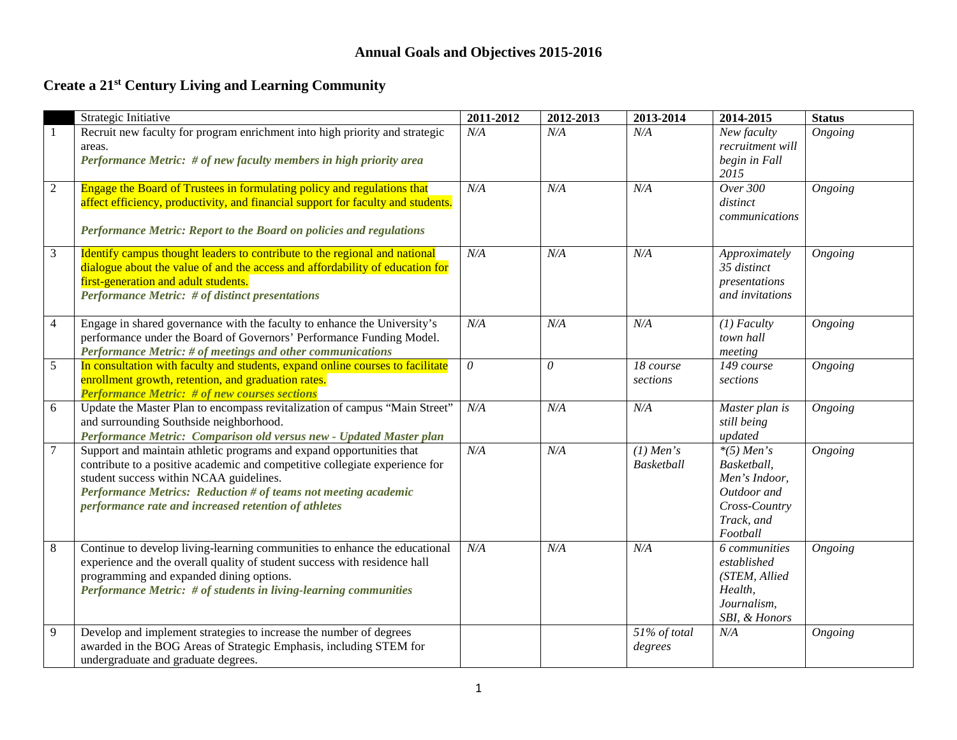### **Annual Goals and Objectives 2015-2016**

# **Create a 21st Century Living and Learning Community**

|                | Strategic Initiative                                                                                                                                                                                                                                                                                                     | 2011-2012 | 2012-2013 | 2013-2014                 | 2014-2015                                                                                              | <b>Status</b> |
|----------------|--------------------------------------------------------------------------------------------------------------------------------------------------------------------------------------------------------------------------------------------------------------------------------------------------------------------------|-----------|-----------|---------------------------|--------------------------------------------------------------------------------------------------------|---------------|
| -1             | Recruit new faculty for program enrichment into high priority and strategic<br>areas.<br>Performance Metric: # of new faculty members in high priority area                                                                                                                                                              | N/A       | N/A       | N/A                       | New faculty<br>recruitment will<br>begin in Fall<br>2015                                               | Ongoing       |
| $\sqrt{2}$     | Engage the Board of Trustees in formulating policy and regulations that<br>affect efficiency, productivity, and financial support for faculty and students.<br>Performance Metric: Report to the Board on policies and regulations                                                                                       | N/A       | N/A       | N/A                       | Over 300<br>distinct<br>communications                                                                 | Ongoing       |
| $\mathfrak{Z}$ | Identify campus thought leaders to contribute to the regional and national<br>dialogue about the value of and the access and affordability of education for<br>first-generation and adult students.<br><b>Performance Metric:</b> # of distinct presentations                                                            | N/A       | N/A       | N/A                       | Approximately<br>35 distinct<br>presentations<br>and invitations                                       | Ongoing       |
| $\overline{4}$ | Engage in shared governance with the faculty to enhance the University's<br>performance under the Board of Governors' Performance Funding Model.<br>Performance Metric: # of meetings and other communications                                                                                                           | N/A       | N/A       | N/A                       | $(1)$ Faculty<br>town hall<br>meeting                                                                  | Ongoing       |
| $\sqrt{5}$     | In consultation with faculty and students, expand online courses to facilitate<br>enrollment growth, retention, and graduation rates.<br><b>Performance Metric: # of new courses sections</b>                                                                                                                            | 0         | 0         | 18 course<br>sections     | $\overline{149}$ course<br>sections                                                                    | Ongoing       |
| 6              | Update the Master Plan to encompass revitalization of campus "Main Street"<br>and surrounding Southside neighborhood.<br>Performance Metric: Comparison old versus new - Updated Master plan                                                                                                                             | N/A       | N/A       | N/A                       | Master plan is<br>still being<br>updated                                                               | Ongoing       |
| $\overline{7}$ | Support and maintain athletic programs and expand opportunities that<br>contribute to a positive academic and competitive collegiate experience for<br>student success within NCAA guidelines.<br>Performance Metrics: Reduction # of teams not meeting academic<br>performance rate and increased retention of athletes | N/A       | N/A       | $(1)$ Men's<br>Basketball | $*(5)$ Men's<br>Basketball,<br>Men's Indoor,<br>Outdoor and<br>Cross-Country<br>Track, and<br>Football | Ongoing       |
| 8              | Continue to develop living-learning communities to enhance the educational<br>experience and the overall quality of student success with residence hall<br>programming and expanded dining options.<br>Performance Metric: # of students in living-learning communities                                                  | N/A       | N/A       | N/A                       | 6 communities<br>established<br>(STEM, Allied<br>Health,<br>Journalism,<br>SBI, & Honors               | Ongoing       |
| 9              | Develop and implement strategies to increase the number of degrees<br>awarded in the BOG Areas of Strategic Emphasis, including STEM for<br>undergraduate and graduate degrees.                                                                                                                                          |           |           | 51% of total<br>degrees   | N/A                                                                                                    | Ongoing       |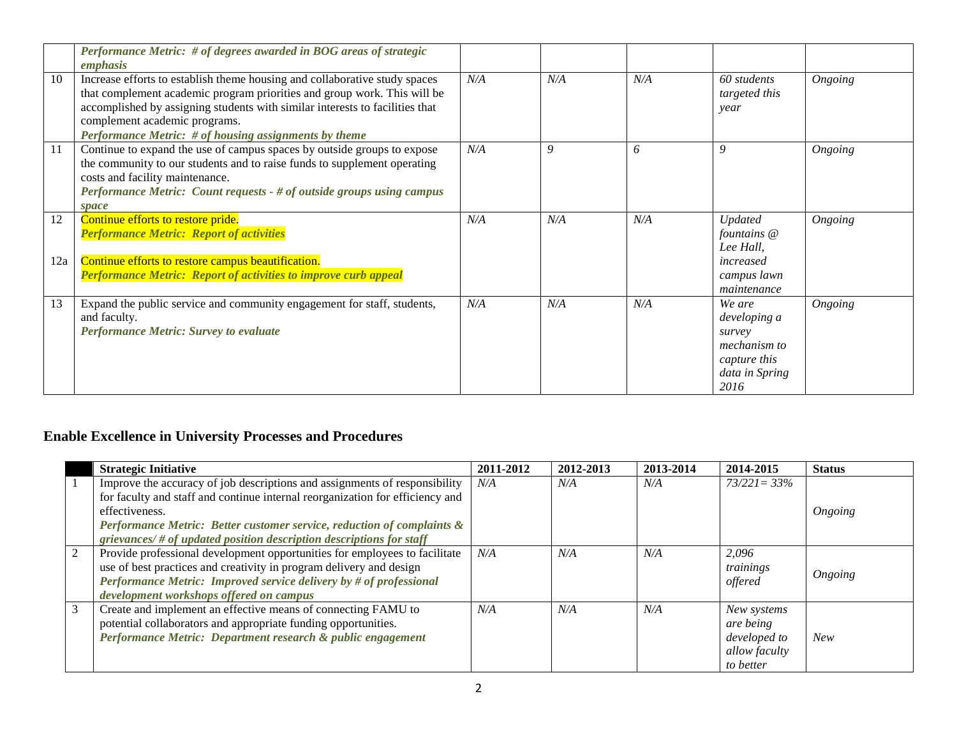|           | Performance Metric: # of degrees awarded in BOG areas of strategic<br>emphasis                                                                                                                                                                                                                                                   |     |     |     |                                                                                            |         |
|-----------|----------------------------------------------------------------------------------------------------------------------------------------------------------------------------------------------------------------------------------------------------------------------------------------------------------------------------------|-----|-----|-----|--------------------------------------------------------------------------------------------|---------|
| 10        | Increase efforts to establish theme housing and collaborative study spaces<br>that complement academic program priorities and group work. This will be<br>accomplished by assigning students with similar interests to facilities that<br>complement academic programs.<br>Performance Metric: # of housing assignments by theme | N/A | N/A | N/A | 60 students<br>targeted this<br>year                                                       | Ongoing |
| 11        | Continue to expand the use of campus spaces by outside groups to expose<br>the community to our students and to raise funds to supplement operating<br>costs and facility maintenance.<br>Performance Metric: Count requests - # of outside groups using campus<br>space                                                         | N/A | 9   | 6   | 9                                                                                          | Ongoing |
| 12<br>12a | Continue efforts to restore pride.<br><b>Performance Metric: Report of activities</b><br>Continue efforts to restore campus beautification.<br><b>Performance Metric: Report of activities to improve curb appeal</b>                                                                                                            | N/A | N/A | N/A | <b>Updated</b><br>fountains @<br>Lee Hall,<br>increased<br>campus lawn<br>maintenance      | Ongoing |
| 13        | Expand the public service and community engagement for staff, students,<br>and faculty.<br><b>Performance Metric: Survey to evaluate</b>                                                                                                                                                                                         | N/A | N/A | N/A | We are<br>developing a<br>survey<br>mechanism to<br>capture this<br>data in Spring<br>2016 | Ongoing |

## **Enable Excellence in University Processes and Procedures**

|   | <b>Strategic Initiative</b>                                                   | 2011-2012 | 2012-2013 | 2013-2014 | 2014-2015       | <b>Status</b> |
|---|-------------------------------------------------------------------------------|-----------|-----------|-----------|-----------------|---------------|
|   | Improve the accuracy of job descriptions and assignments of responsibility    | N/A       | $N\!/\!A$ | N/A       | $73/221 = 33\%$ |               |
|   | for faculty and staff and continue internal reorganization for efficiency and |           |           |           |                 |               |
|   | effectiveness.                                                                |           |           |           |                 | Ongoing       |
|   | Performance Metric: Better customer service, reduction of complaints &        |           |           |           |                 |               |
|   | grievances/ $#$ of updated position description descriptions for staff        |           |           |           |                 |               |
| 2 | Provide professional development opportunities for employees to facilitate    | N/A       | N/A       | N/A       | 2,096           |               |
|   | use of best practices and creativity in program delivery and design           |           |           |           | trainings       | Ongoing       |
|   | Performance Metric: Improved service delivery by # of professional            |           |           |           | offered         |               |
|   | development workshops offered on campus                                       |           |           |           |                 |               |
| 3 | Create and implement an effective means of connecting FAMU to                 | N/A       | N/A       | N/A       | New systems     |               |
|   | potential collaborators and appropriate funding opportunities.                |           |           |           | are being       |               |
|   | Performance Metric: Department research & public engagement                   |           |           |           | developed to    | New           |
|   |                                                                               |           |           |           | allow faculty   |               |
|   |                                                                               |           |           |           | to better       |               |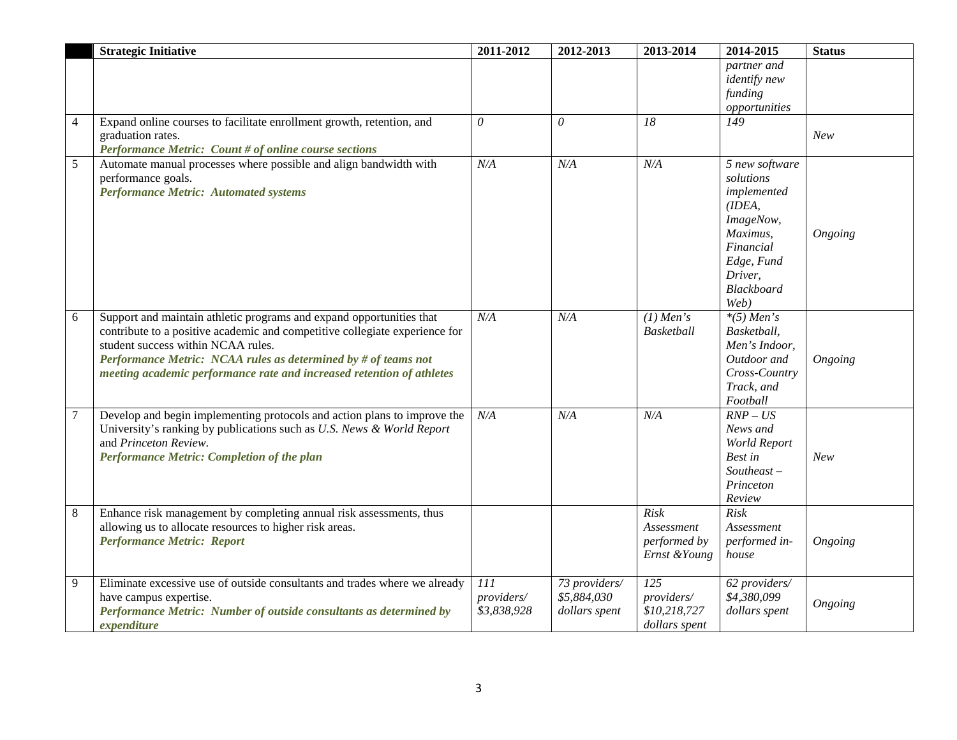|                | <b>Strategic Initiative</b>                                                                                                                                                                                                                                                                                                          | 2011-2012                        | 2012-2013                                     | 2013-2014                                                 | 2014-2015                                                                                                                                        | <b>Status</b> |
|----------------|--------------------------------------------------------------------------------------------------------------------------------------------------------------------------------------------------------------------------------------------------------------------------------------------------------------------------------------|----------------------------------|-----------------------------------------------|-----------------------------------------------------------|--------------------------------------------------------------------------------------------------------------------------------------------------|---------------|
|                |                                                                                                                                                                                                                                                                                                                                      |                                  |                                               |                                                           | partner and<br><i>identify new</i><br>funding<br>opportunities                                                                                   |               |
| $\overline{4}$ | Expand online courses to facilitate enrollment growth, retention, and<br>graduation rates.<br>Performance Metric: Count # of online course sections                                                                                                                                                                                  | $\theta$                         | $\theta$                                      | 18                                                        | $\overline{149}$                                                                                                                                 | New           |
| 5              | Automate manual processes where possible and align bandwidth with<br>performance goals.<br><b>Performance Metric: Automated systems</b>                                                                                                                                                                                              | N/A                              | N/A                                           | N/A                                                       | 5 new software<br>solutions<br>implemented<br>(IDEA,<br>ImageNow,<br>Maximus,<br>Financial<br>Edge, Fund<br>Driver,<br><b>Blackboard</b><br>Web) | Ongoing       |
| 6              | Support and maintain athletic programs and expand opportunities that<br>contribute to a positive academic and competitive collegiate experience for<br>student success within NCAA rules.<br>Performance Metric: NCAA rules as determined by # of teams not<br>meeting academic performance rate and increased retention of athletes | N/A                              | N/A                                           | $(1)$ Men's<br><b>Basketball</b>                          | $*(5)$ Men's<br>Basketball,<br>Men's Indoor,<br>Outdoor and<br>Cross-Country<br>Track, and<br>Football                                           | Ongoing       |
| 7              | Develop and begin implementing protocols and action plans to improve the<br>University's ranking by publications such as U.S. News & World Report<br>and Princeton Review.<br>Performance Metric: Completion of the plan                                                                                                             | N/A                              | N/A                                           | N/A                                                       | $\overline{RNP}$ – US<br>News and<br>World Report<br>Best in<br>$Southeast -$<br>Princeton<br>Review                                             | New           |
| 8              | Enhance risk management by completing annual risk assessments, thus<br>allowing us to allocate resources to higher risk areas.<br><b>Performance Metric: Report</b>                                                                                                                                                                  |                                  |                                               | <b>Risk</b><br>Assessment<br>performed by<br>Ernst &Young | <b>Risk</b><br>Assessment<br>performed in-<br>house                                                                                              | Ongoing       |
| 9              | Eliminate excessive use of outside consultants and trades where we already<br>have campus expertise.<br>Performance Metric: Number of outside consultants as determined by<br>expenditure                                                                                                                                            | 111<br>providers/<br>\$3,838,928 | 73 providers/<br>\$5,884,030<br>dollars spent | 125<br>providers/<br>\$10,218,727<br>dollars spent        | 62 providers/<br>\$4,380,099<br>dollars spent                                                                                                    | Ongoing       |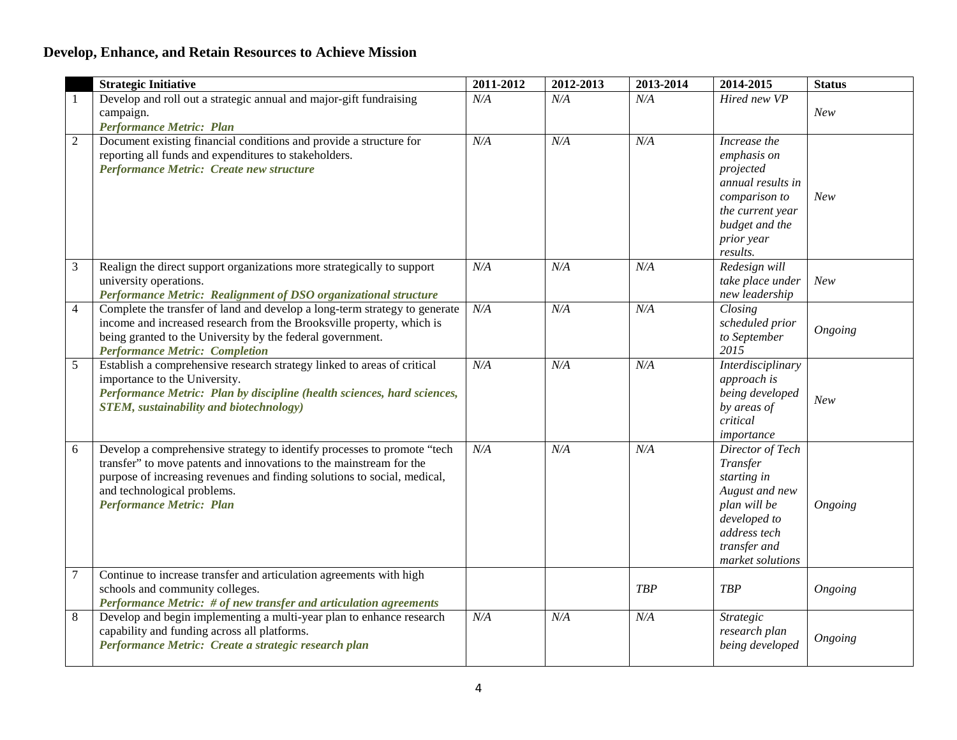## **Develop, Enhance, and Retain Resources to Achieve Mission**

|                  | <b>Strategic Initiative</b>                                                                                                                                                                                                                                                                  | 2011-2012 | 2012-2013 | 2013-2014  | 2014-2015                                                                                                                                         | <b>Status</b> |
|------------------|----------------------------------------------------------------------------------------------------------------------------------------------------------------------------------------------------------------------------------------------------------------------------------------------|-----------|-----------|------------|---------------------------------------------------------------------------------------------------------------------------------------------------|---------------|
| -1               | Develop and roll out a strategic annual and major-gift fundraising<br>campaign.<br><b>Performance Metric: Plan</b>                                                                                                                                                                           | N/A       | N/A       | N/A        | Hired new VP                                                                                                                                      | New           |
| $\overline{2}$   | Document existing financial conditions and provide a structure for<br>reporting all funds and expenditures to stakeholders.<br>Performance Metric: Create new structure                                                                                                                      | N/A       | N/A       | N/A        | Increase the<br>emphasis on<br>projected<br>annual results in<br>comparison to<br>the current year<br>budget and the<br>prior year<br>results.    | New           |
| $\mathfrak{Z}$   | Realign the direct support organizations more strategically to support<br>university operations.<br>Performance Metric: Realignment of DSO organizational structure                                                                                                                          | N/A       | N/A       | N/A        | Redesign will<br>take place under<br>new leadership                                                                                               | New           |
| $\overline{4}$   | Complete the transfer of land and develop a long-term strategy to generate<br>income and increased research from the Brooksville property, which is<br>being granted to the University by the federal government.<br><b>Performance Metric: Completion</b>                                   | N/A       | N/A       | N/A        | Closing<br>scheduled prior<br>to September<br>2015                                                                                                | Ongoing       |
| 5                | Establish a comprehensive research strategy linked to areas of critical<br>importance to the University.<br>Performance Metric: Plan by discipline (health sciences, hard sciences,<br><b>STEM</b> , sustainability and biotechnology)                                                       | N/A       | N/A       | N/A        | <b>Interdisciplinary</b><br>approach is<br>being developed<br>by areas of<br>critical<br>importance                                               | New           |
| 6                | Develop a comprehensive strategy to identify processes to promote "tech<br>transfer" to move patents and innovations to the mainstream for the<br>purpose of increasing revenues and finding solutions to social, medical,<br>and technological problems.<br><b>Performance Metric: Plan</b> | N/A       | N/A       | N/A        | Director of Tech<br>Transfer<br>starting in<br>August and new<br>plan will be<br>developed to<br>address tech<br>transfer and<br>market solutions | Ongoing       |
| $\boldsymbol{7}$ | Continue to increase transfer and articulation agreements with high<br>schools and community colleges.<br>Performance Metric: # of new transfer and articulation agreements                                                                                                                  |           |           | <b>TBP</b> | <b>TBP</b>                                                                                                                                        | Ongoing       |
| $\,8\,$          | Develop and begin implementing a multi-year plan to enhance research<br>capability and funding across all platforms.<br>Performance Metric: Create a strategic research plan                                                                                                                 | N/A       | N/A       | N/A        | Strategic<br>research plan<br>being developed                                                                                                     | Ongoing       |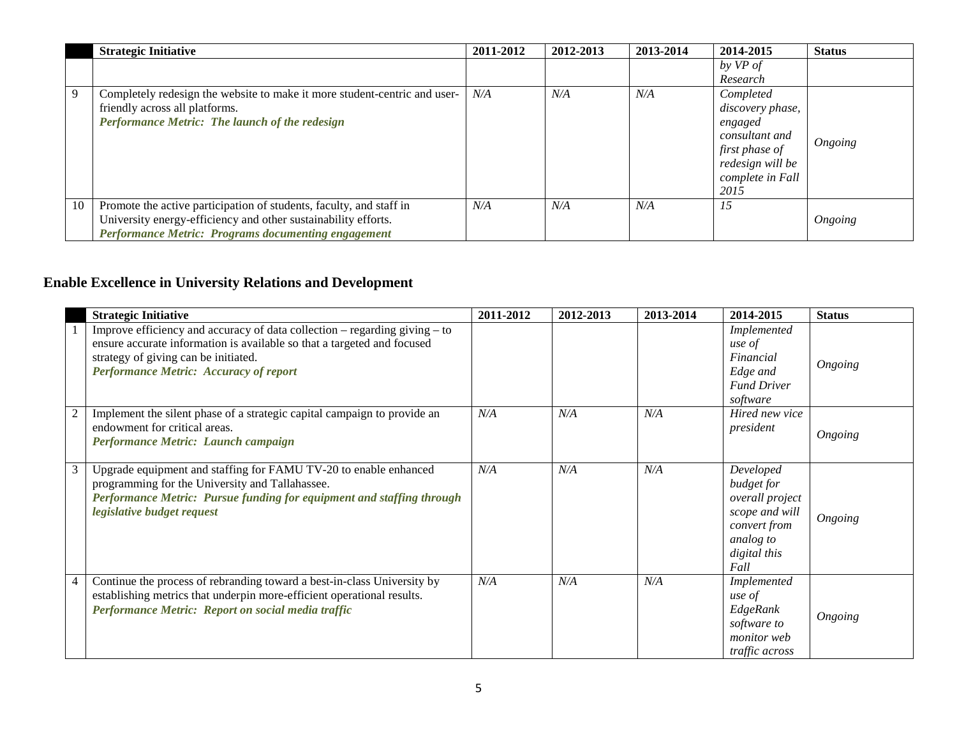|    | <b>Strategic Initiative</b>                                                                                                                                                                  | 2011-2012 | 2012-2013 | 2013-2014 | 2014-2015                                                                                                                    | <b>Status</b> |
|----|----------------------------------------------------------------------------------------------------------------------------------------------------------------------------------------------|-----------|-----------|-----------|------------------------------------------------------------------------------------------------------------------------------|---------------|
|    |                                                                                                                                                                                              |           |           |           | by VP of<br>Research                                                                                                         |               |
| 9  | Completely redesign the website to make it more student-centric and user-<br>friendly across all platforms.<br>Performance Metric: The launch of the redesign                                | N/A       | N/A       | N/A       | Completed<br>discovery phase,<br>engaged<br>consultant and<br>first phase of<br>redesign will be<br>complete in Fall<br>2015 | Ongoing       |
| 10 | Promote the active participation of students, faculty, and staff in<br>University energy-efficiency and other sustainability efforts.<br>Performance Metric: Programs documenting engagement | N/A       | N/A       | N/A       | 15                                                                                                                           | Ongoing       |

# **Enable Excellence in University Relations and Development**

|                | <b>Strategic Initiative</b>                                                                                                                                                                                                                        | 2011-2012 | 2012-2013 | 2013-2014 | 2014-2015                                                                                                         | <b>Status</b> |
|----------------|----------------------------------------------------------------------------------------------------------------------------------------------------------------------------------------------------------------------------------------------------|-----------|-----------|-----------|-------------------------------------------------------------------------------------------------------------------|---------------|
|                | Improve efficiency and accuracy of data collection $-$ regarding giving $-$ to<br>ensure accurate information is available so that a targeted and focused<br>strategy of giving can be initiated.<br><b>Performance Metric: Accuracy of report</b> |           |           |           | Implemented<br>use of<br>Financial<br>Edge and<br><b>Fund Driver</b><br>software                                  | Ongoing       |
| 2              | Implement the silent phase of a strategic capital campaign to provide an<br>endowment for critical areas.<br>Performance Metric: Launch campaign                                                                                                   | N/A       | N/A       | N/A       | Hired new vice<br>president                                                                                       | Ongoing       |
| 3              | Upgrade equipment and staffing for FAMU TV-20 to enable enhanced<br>programming for the University and Tallahassee.<br>Performance Metric: Pursue funding for equipment and staffing through<br>legislative budget request                         | N/A       | N/A       | N/A       | Developed<br>budget for<br>overall project<br>scope and will<br>convert from<br>analog to<br>digital this<br>Fall | Ongoing       |
| $\overline{4}$ | Continue the process of rebranding toward a best-in-class University by<br>establishing metrics that underpin more-efficient operational results.<br>Performance Metric: Report on social media traffic                                            | N/A       | N/A       | N/A       | Implemented<br>use of<br>EdgeRank<br>software to<br><i>monitor</i> web<br>traffic across                          | Ongoing       |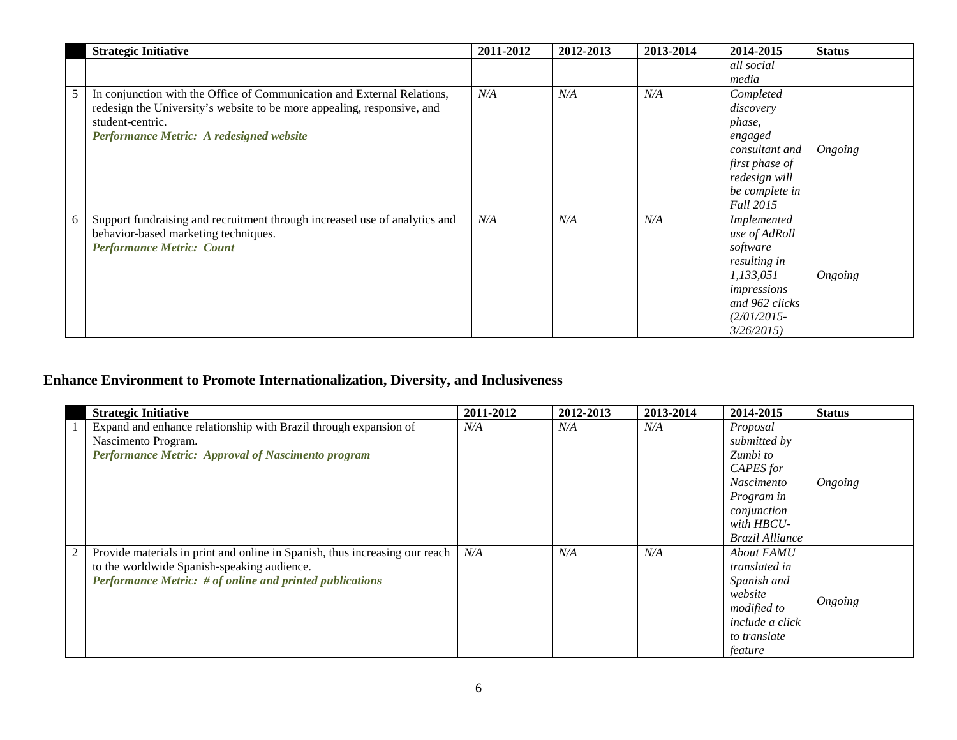|   | <b>Strategic Initiative</b>                                                | 2011-2012 | 2012-2013 | 2013-2014 | 2014-2015      | <b>Status</b> |
|---|----------------------------------------------------------------------------|-----------|-----------|-----------|----------------|---------------|
|   |                                                                            |           |           |           | all social     |               |
|   |                                                                            |           |           |           | media          |               |
| 5 | In conjunction with the Office of Communication and External Relations,    | N/A       | N/A       | N/A       | Completed      |               |
|   | redesign the University's website to be more appealing, responsive, and    |           |           |           | discovery      |               |
|   | student-centric.                                                           |           |           |           | phase,         |               |
|   | Performance Metric: A redesigned website                                   |           |           |           | engaged        |               |
|   |                                                                            |           |           |           | consultant and | Ongoing       |
|   |                                                                            |           |           |           | first phase of |               |
|   |                                                                            |           |           |           | redesign will  |               |
|   |                                                                            |           |           |           | be complete in |               |
|   |                                                                            |           |           |           | Fall 2015      |               |
| 6 | Support fundraising and recruitment through increased use of analytics and | N/A       | N/A       | N/A       | Implemented    |               |
|   | behavior-based marketing techniques.                                       |           |           |           | use of AdRoll  |               |
|   | <b>Performance Metric: Count</b>                                           |           |           |           | software       |               |
|   |                                                                            |           |           |           | resulting in   |               |
|   |                                                                            |           |           |           | 1,133,051      | Ongoing       |
|   |                                                                            |           |           |           | impressions    |               |
|   |                                                                            |           |           |           | and 962 clicks |               |
|   |                                                                            |           |           |           | $(2/01/2015 -$ |               |
|   |                                                                            |           |           |           | 3/26/2015      |               |

## **Enhance Environment to Promote Internationalization, Diversity, and Inclusiveness**

|   | <b>Strategic Initiative</b>                                                                                                                                                                   | 2011-2012 | 2012-2013 | 2013-2014 | 2014-2015                                                                                                                                   | <b>Status</b> |
|---|-----------------------------------------------------------------------------------------------------------------------------------------------------------------------------------------------|-----------|-----------|-----------|---------------------------------------------------------------------------------------------------------------------------------------------|---------------|
|   | Expand and enhance relationship with Brazil through expansion of<br>Nascimento Program.<br>Performance Metric: Approval of Nascimento program                                                 | N/A       | N/A       | N/A       | Proposal<br>submitted by<br>Zumbi to<br>CAPES for<br><i>Nascimento</i><br>Program in<br>conjunction<br>with HBCU-<br><b>Brazil Alliance</b> | Ongoing       |
| 2 | Provide materials in print and online in Spanish, thus increasing our reach<br>to the worldwide Spanish-speaking audience.<br><b>Performance Metric:</b> # of online and printed publications | N/A       | N/A       | N/A       | About FAMU<br>translated in<br>Spanish and<br>website<br>modified to<br><i>include a click</i><br>to translate<br>feature                   | Ongoing       |